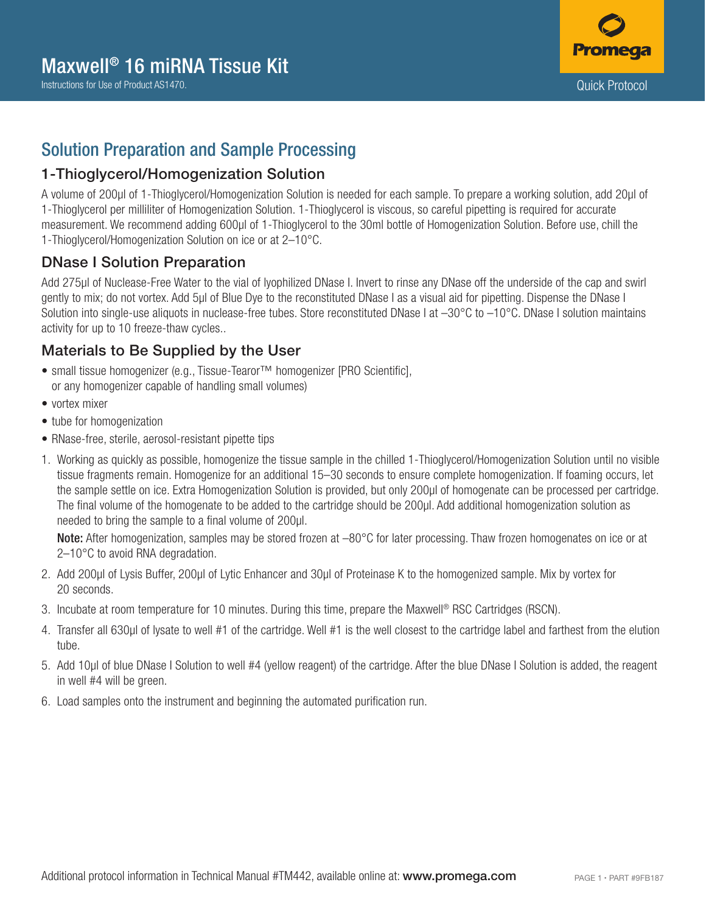

## Solution Preparation and Sample Processing

#### 1-Thioglycerol/Homogenization Solution

A volume of 200µl of 1-Thioglycerol/Homogenization Solution is needed for each sample. To prepare a working solution, add 20µl of 1-Thioglycerol per milliliter of Homogenization Solution. 1-Thioglycerol is viscous, so careful pipetting is required for accurate measurement. We recommend adding 600µl of 1-Thioglycerol to the 30ml bottle of Homogenization Solution. Before use, chill the 1-Thioglycerol/Homogenization Solution on ice or at 2–10°C.

#### DNase I Solution Preparation

Add 275µl of Nuclease-Free Water to the vial of lyophilized DNase I. Invert to rinse any DNase off the underside of the cap and swirl gently to mix; do not vortex. Add 5µl of Blue Dye to the reconstituted DNase I as a visual aid for pipetting. Dispense the DNase I Solution into single-use aliquots in nuclease-free tubes. Store reconstituted DNase I at  $-30^{\circ}$ C to  $-10^{\circ}$ C. DNase I solution maintains activity for up to 10 freeze-thaw cycles..

## Materials to Be Supplied by the User

- small tissue homogenizer (e.g., Tissue-Tearor™ homogenizer [PRO Scientific], or any homogenizer capable of handling small volumes)
- vortex mixer
- tube for homogenization
- RNase-free, sterile, aerosol-resistant pipette tips
- 1. Working as quickly as possible, homogenize the tissue sample in the chilled 1-Thioglycerol/Homogenization Solution until no visible tissue fragments remain. Homogenize for an additional 15–30 seconds to ensure complete homogenization. If foaming occurs, let the sample settle on ice. Extra Homogenization Solution is provided, but only 200μl of homogenate can be processed per cartridge. The final volume of the homogenate to be added to the cartridge should be 200μl. Add additional homogenization solution as needed to bring the sample to a final volume of 200μl.

Note: After homogenization, samples may be stored frozen at  $-80^{\circ}$ C for later processing. Thaw frozen homogenates on ice or at 2–10°C to avoid RNA degradation.

- 2. Add 200μl of Lysis Buffer, 200μl of Lytic Enhancer and 30μl of Proteinase K to the homogenized sample. Mix by vortex for 20 seconds.
- 3. Incubate at room temperature for 10 minutes. During this time, prepare the Maxwell® RSC Cartridges (RSCN).
- 4. Transfer all 630μl of lysate to well #1 of the cartridge. Well #1 is the well closest to the cartridge label and farthest from the elution tube.
- 5. Add 10µl of blue DNase I Solution to well #4 (yellow reagent) of the cartridge. After the blue DNase I Solution is added, the reagent in well #4 will be green.
- 6. Load samples onto the instrument and beginning the automated purification run.